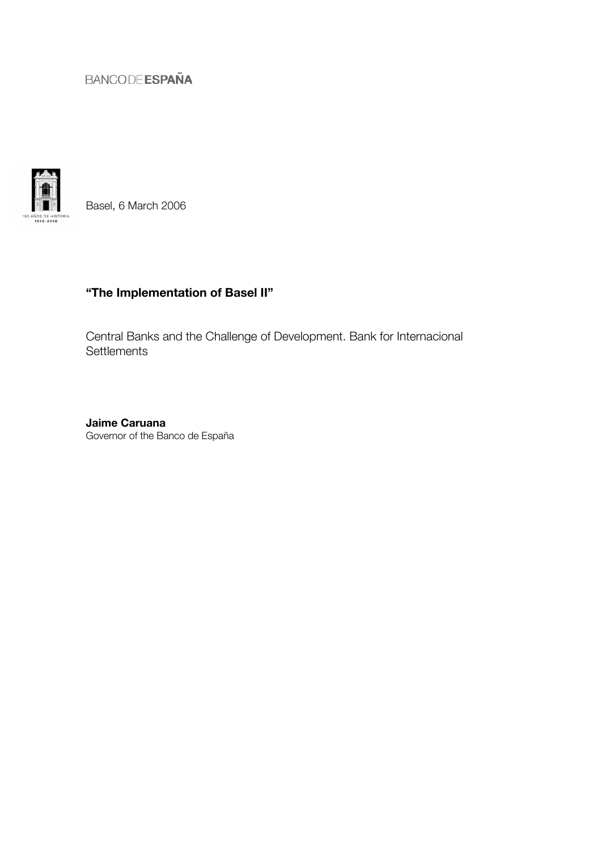

Basel, 6 March 2006

# "The Implementation of Basel II"

Central Banks and the Challenge of Development. Bank for Internacional **Settlements** 

Jaime Caruana Governor of the Banco de España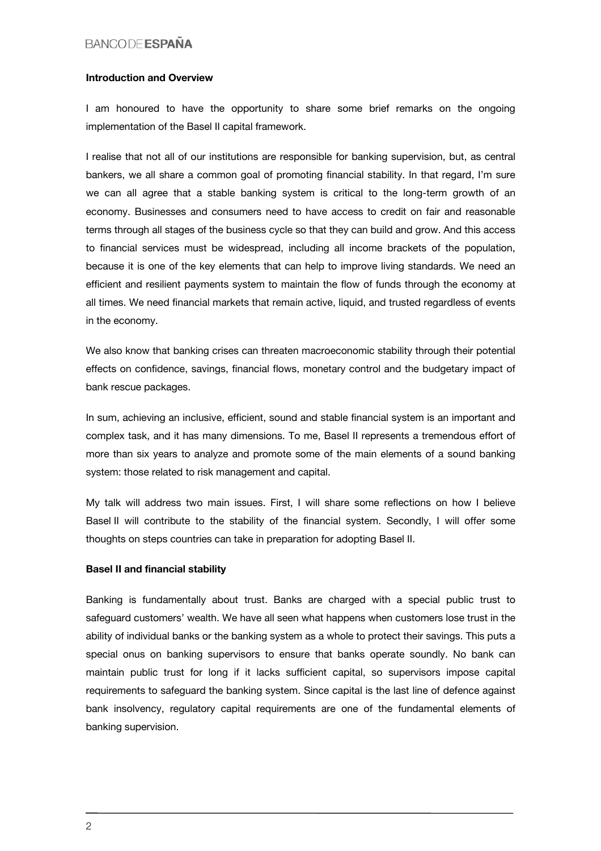#### Introduction and Overview

I am honoured to have the opportunity to share some brief remarks on the ongoing implementation of the Basel II capital framework.

I realise that not all of our institutions are responsible for banking supervision, but, as central bankers, we all share a common goal of promoting financial stability. In that regard, I'm sure we can all agree that a stable banking system is critical to the long-term growth of an economy. Businesses and consumers need to have access to credit on fair and reasonable terms through all stages of the business cycle so that they can build and grow. And this access to financial services must be widespread, including all income brackets of the population, because it is one of the key elements that can help to improve living standards. We need an efficient and resilient payments system to maintain the flow of funds through the economy at all times. We need financial markets that remain active, liquid, and trusted regardless of events in the economy.

We also know that banking crises can threaten macroeconomic stability through their potential effects on confidence, savings, financial flows, monetary control and the budgetary impact of bank rescue packages.

In sum, achieving an inclusive, efficient, sound and stable financial system is an important and complex task, and it has many dimensions. To me, Basel II represents a tremendous effort of more than six years to analyze and promote some of the main elements of a sound banking system: those related to risk management and capital.

My talk will address two main issues. First, I will share some reflections on how I believe Basel II will contribute to the stability of the financial system. Secondly, I will offer some thoughts on steps countries can take in preparation for adopting Basel II.

#### Basel II and financial stability

Banking is fundamentally about trust. Banks are charged with a special public trust to safeguard customers' wealth. We have all seen what happens when customers lose trust in the ability of individual banks or the banking system as a whole to protect their savings. This puts a special onus on banking supervisors to ensure that banks operate soundly. No bank can maintain public trust for long if it lacks sufficient capital, so supervisors impose capital requirements to safeguard the banking system. Since capital is the last line of defence against bank insolvency, regulatory capital requirements are one of the fundamental elements of banking supervision.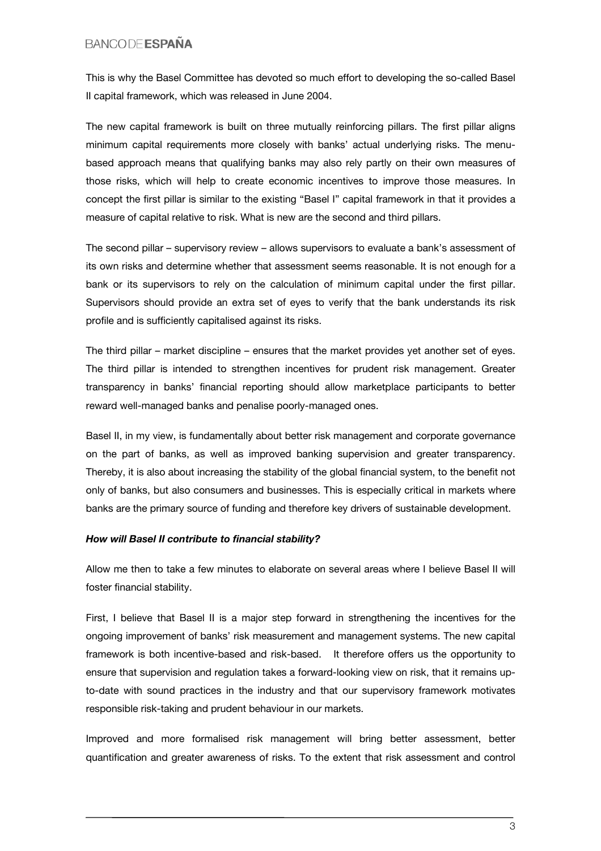This is why the Basel Committee has devoted so much effort to developing the so-called Basel II capital framework, which was released in June 2004.

The new capital framework is built on three mutually reinforcing pillars. The first pillar aligns minimum capital requirements more closely with banks' actual underlying risks. The menubased approach means that qualifying banks may also rely partly on their own measures of those risks, which will help to create economic incentives to improve those measures. In concept the first pillar is similar to the existing "Basel I" capital framework in that it provides a measure of capital relative to risk. What is new are the second and third pillars.

The second pillar – supervisory review – allows supervisors to evaluate a bank's assessment of its own risks and determine whether that assessment seems reasonable. It is not enough for a bank or its supervisors to rely on the calculation of minimum capital under the first pillar. Supervisors should provide an extra set of eyes to verify that the bank understands its risk profile and is sufficiently capitalised against its risks.

The third pillar – market discipline – ensures that the market provides yet another set of eyes. The third pillar is intended to strengthen incentives for prudent risk management. Greater transparency in banks' financial reporting should allow marketplace participants to better reward well-managed banks and penalise poorly-managed ones.

Basel II, in my view, is fundamentally about better risk management and corporate governance on the part of banks, as well as improved banking supervision and greater transparency. Thereby, it is also about increasing the stability of the global financial system, to the benefit not only of banks, but also consumers and businesses. This is especially critical in markets where banks are the primary source of funding and therefore key drivers of sustainable development.

#### *How will Basel II contribute to financial stability?*

Allow me then to take a few minutes to elaborate on several areas where I believe Basel II will foster financial stability.

First, I believe that Basel II is a major step forward in strengthening the incentives for the ongoing improvement of banks' risk measurement and management systems. The new capital framework is both incentive-based and risk-based. It therefore offers us the opportunity to ensure that supervision and regulation takes a forward-looking view on risk, that it remains upto-date with sound practices in the industry and that our supervisory framework motivates responsible risk-taking and prudent behaviour in our markets.

Improved and more formalised risk management will bring better assessment, better quantification and greater awareness of risks. To the extent that risk assessment and control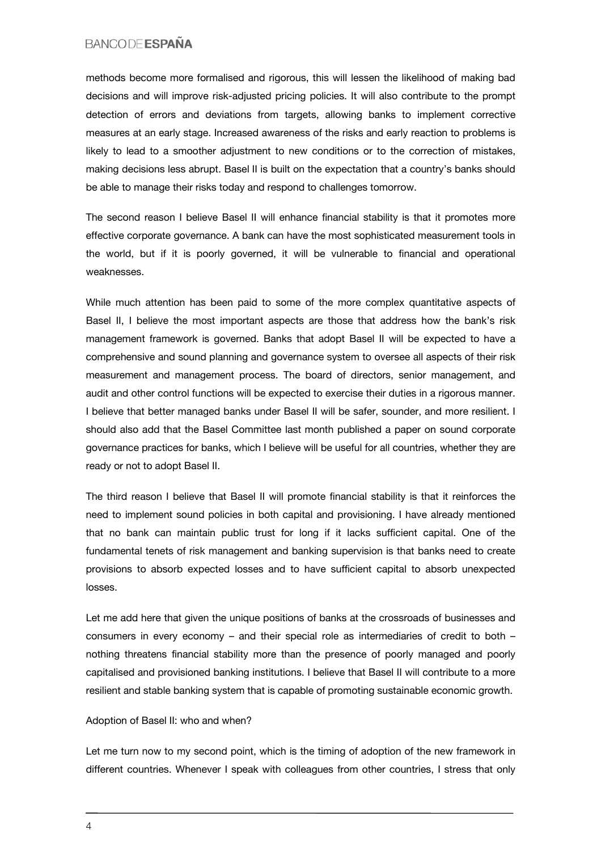methods become more formalised and rigorous, this will lessen the likelihood of making bad decisions and will improve risk-adjusted pricing policies. It will also contribute to the prompt detection of errors and deviations from targets, allowing banks to implement corrective measures at an early stage. Increased awareness of the risks and early reaction to problems is likely to lead to a smoother adjustment to new conditions or to the correction of mistakes, making decisions less abrupt. Basel II is built on the expectation that a country's banks should be able to manage their risks today and respond to challenges tomorrow.

The second reason I believe Basel II will enhance financial stability is that it promotes more effective corporate governance. A bank can have the most sophisticated measurement tools in the world, but if it is poorly governed, it will be vulnerable to financial and operational weaknesses.

While much attention has been paid to some of the more complex quantitative aspects of Basel II, I believe the most important aspects are those that address how the bank's risk management framework is governed. Banks that adopt Basel II will be expected to have a comprehensive and sound planning and governance system to oversee all aspects of their risk measurement and management process. The board of directors, senior management, and audit and other control functions will be expected to exercise their duties in a rigorous manner. I believe that better managed banks under Basel II will be safer, sounder, and more resilient. I should also add that the Basel Committee last month published a paper on sound corporate governance practices for banks, which I believe will be useful for all countries, whether they are ready or not to adopt Basel II.

The third reason I believe that Basel II will promote financial stability is that it reinforces the need to implement sound policies in both capital and provisioning. I have already mentioned that no bank can maintain public trust for long if it lacks sufficient capital. One of the fundamental tenets of risk management and banking supervision is that banks need to create provisions to absorb expected losses and to have sufficient capital to absorb unexpected losses.

Let me add here that given the unique positions of banks at the crossroads of businesses and consumers in every economy – and their special role as intermediaries of credit to both – nothing threatens financial stability more than the presence of poorly managed and poorly capitalised and provisioned banking institutions. I believe that Basel II will contribute to a more resilient and stable banking system that is capable of promoting sustainable economic growth.

#### Adoption of Basel II: who and when?

Let me turn now to my second point, which is the timing of adoption of the new framework in different countries. Whenever I speak with colleagues from other countries, I stress that only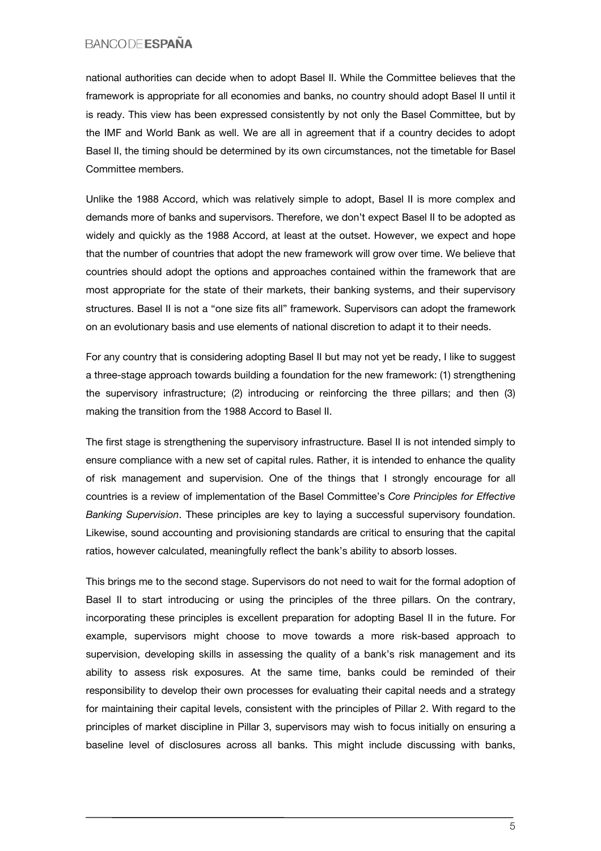national authorities can decide when to adopt Basel II. While the Committee believes that the framework is appropriate for all economies and banks, no country should adopt Basel II until it is ready. This view has been expressed consistently by not only the Basel Committee, but by the IMF and World Bank as well. We are all in agreement that if a country decides to adopt Basel II, the timing should be determined by its own circumstances, not the timetable for Basel Committee members.

Unlike the 1988 Accord, which was relatively simple to adopt, Basel II is more complex and demands more of banks and supervisors. Therefore, we don't expect Basel II to be adopted as widely and quickly as the 1988 Accord, at least at the outset. However, we expect and hope that the number of countries that adopt the new framework will grow over time. We believe that countries should adopt the options and approaches contained within the framework that are most appropriate for the state of their markets, their banking systems, and their supervisory structures. Basel II is not a "one size fits all" framework. Supervisors can adopt the framework on an evolutionary basis and use elements of national discretion to adapt it to their needs.

For any country that is considering adopting Basel II but may not yet be ready, I like to suggest a three-stage approach towards building a foundation for the new framework: (1) strengthening the supervisory infrastructure; (2) introducing or reinforcing the three pillars; and then (3) making the transition from the 1988 Accord to Basel II.

The first stage is strengthening the supervisory infrastructure. Basel II is not intended simply to ensure compliance with a new set of capital rules. Rather, it is intended to enhance the quality of risk management and supervision. One of the things that I strongly encourage for all countries is a review of implementation of the Basel Committee's *Core Principles for Effective Banking Supervision*. These principles are key to laying a successful supervisory foundation. Likewise, sound accounting and provisioning standards are critical to ensuring that the capital ratios, however calculated, meaningfully reflect the bank's ability to absorb losses.

This brings me to the second stage. Supervisors do not need to wait for the formal adoption of Basel II to start introducing or using the principles of the three pillars. On the contrary, incorporating these principles is excellent preparation for adopting Basel II in the future. For example, supervisors might choose to move towards a more risk-based approach to supervision, developing skills in assessing the quality of a bank's risk management and its ability to assess risk exposures. At the same time, banks could be reminded of their responsibility to develop their own processes for evaluating their capital needs and a strategy for maintaining their capital levels, consistent with the principles of Pillar 2. With regard to the principles of market discipline in Pillar 3, supervisors may wish to focus initially on ensuring a baseline level of disclosures across all banks. This might include discussing with banks,